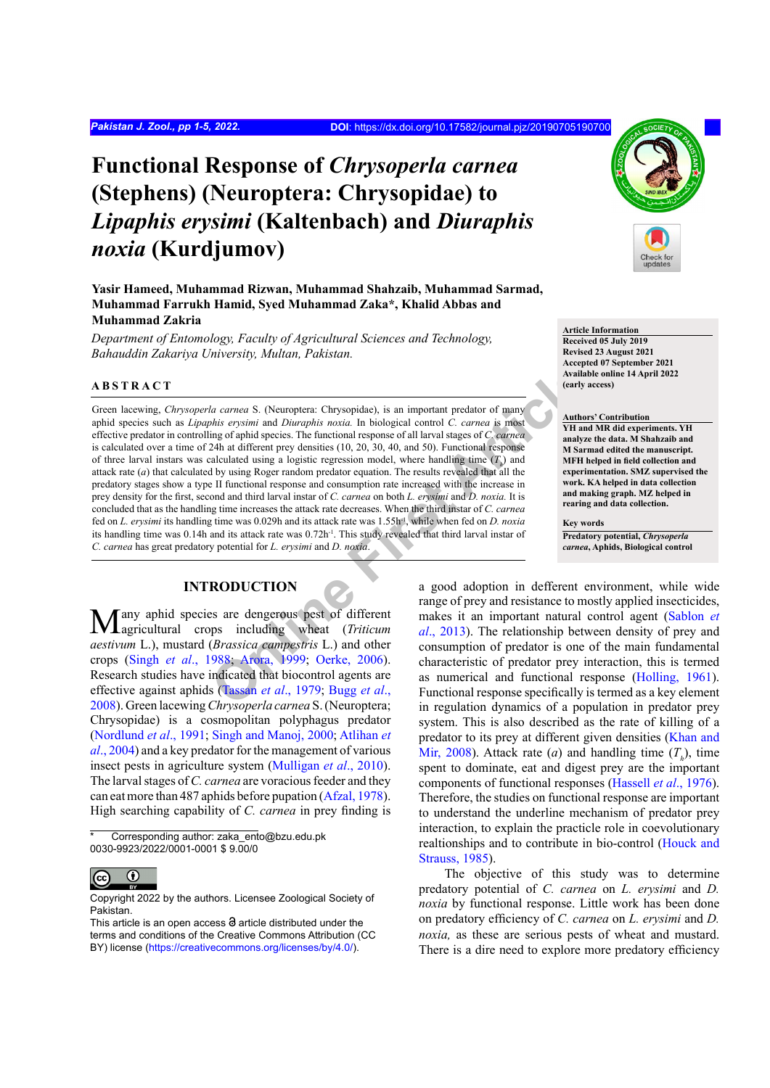*Pakistan J. Zool., pp 1-5, 2022.* **DOI**: <https://dx.doi.org/10.17582/journal.pjz/20190705190700>

# **Functional Response of** *Chrysoperla carnea* **(Stephens) (Neuroptera: Chrysopidae) to**  *Lipaphis erysimi* **(Kaltenbach) and** *Diuraphis noxia* **(Kurdjumov)**

**Yasir Hameed, Muhammad Rizwan, Muhammad Shahzaib, Muhammad Sarmad, Muhammad Farrukh Hamid, Syed Muhammad Zaka\*, Khalid Abbas and Muhammad Zakria**

*Department of Entomology, Faculty of Agricultural Sciences and Technology, Bahauddin Zakariya University, Multan, Pakistan.*

#### **ABSTRACT**

*La carnea* S. (Neuroptera: Chrysopidae), is an important predator of many<br> *[O](#page-4-2)his erysimi* and *Diuraphis noxia*. In biological control *C. carnea* is mask<br> *Ohis erysimi* and *Diuraphis noxia*. In biological control *C. c* Green lacewing, *Chrysoperla carnea* S. (Neuroptera: Chrysopidae), is an important predator of many aphid species such as *Lipaphis erysimi* and *Diuraphis noxia.* In biological control *C. carnea* is most effective predator in controlling of aphid species. The functional response of all larval stages of *C. carnea* is calculated over a time of 24h at different prey densities (10, 20, 30, 40, and 50). Functional response of three larval instars was calculated using a logistic regression model, where handling time  $(T<sub>h</sub>)$  and attack rate (*a*) that calculated by using Roger random predator equation. The results revealed that all the predatory stages show a type II functional response and consumption rate increased with the increase in prey density for the first, second and third larval instar of *C. carnea* on both *L. erysimi* and *D. noxia.* It is concluded that as the handling time increases the attack rate decreases. When the third instar of *C. carnea* fed on *L. erysimi* its handling time was 0.029h and its attack rate was 1.55h<sup>-1</sup>, while when fed on *D. noxia* its handling time was 0.14h and its attack rate was 0.72h<sup>-1</sup>. This study revealed that third larval instar of *C. carnea* has great predatory potential for *L. erysimi* and *D. noxia*.

# **INTRODUCTION**

Many aphid species are dengerous pest of different agricultural crops including wheat (*Triticum aestivum* L.), mustard (*Brassica campestris* L.) and other crops (Singh *et al*[., 1988](#page-4-0); Arora, 1999; Oerke, 2006). Research studies have indicated that biocontrol agents are effective against aphids (Tassan *et al*., 1979; Bugg *et al*., [2008\)](#page-3-1). Green lacewing *Chrysoperla carnea* S.(Neuroptera; Chrysopidae) is a cosmopolitan polyphagus predator [\(Nordlund](#page-4-3) *et al*., 1991; [Singh and Manoj, 2000;](#page-4-4) Atlihan *et al*., 2004) and a key predator for the management of various insect pests in agriculture system ([Mulligan](#page-4-5) *et al*., 2010). The larval stages of *C. carnea* are voracious feeder and they can eat more than 487 aphids before pupation [\(Afzal, 1978](#page-3-2)). High searching capability of *C. carnea* in prey finding is

Corresponding author: zaka\_ento@bzu.edu.pk 0030-9923/2022/0001-0001 \$ 9.00/0



Copyright 2022 by the authors. Licensee Zoological Society of Pakistan.



**Article Information Received 05 July 2019 Revised 23 August 2021 Accepted 07 September 2021 Available online 14 April 2022 (early access)**

#### **Authors' Contribution**

**YH and MR did experiments. YH analyze the data. M Shahzaib and M Sarmad edited the manuscript. MFH helped in field collection and experimentation. SMZ supervised the work. KA helped in data collection and making graph. MZ helped in rearing and data collection.**

**Key words Predatory potential,** *Chrysoperla carnea***, Aphids, Biological control**

a good adoption in defferent environment, while wide range of prey and resistance to mostly applied insecticides, makes it an important natural control agent ([Sablon](#page-4-6) *et al*., 2013). The relationship between density of prey and consumption of predator is one of the main fundamental characteristic of predator prey interaction, this is termed as numerical and functional response [\(Holling, 1961\)](#page-3-3). Functional response specifically is termed as a key element in regulation dynamics of a population in predator prey system. This is also described as the rate of killing of a predator to its prey at different given densities [\(Khan and](#page-3-4) [Mir, 2008\)](#page-3-4). Attack rate (*a*) and handling time  $(T_h)$ , time spent to dominate, eat and digest prey are the important components of functional responses ([Hassell](#page-3-5) *et al*., 1976). Therefore, the studies on functional response are important to understand the underline mechanism of predator prey interaction, to explain the practicle role in coevolutionary realtionships and to contribute in bio-control [\(Houck and](#page-3-6) [Strauss, 1985\)](#page-3-6).

The objective of this study was to determine predatory potential of *C. carnea* on *L. erysimi* and *D. noxia* by functional response. Little work has been done on predatory efficiency of *C. carnea* on *L. erysimi* and *D. noxia,* as these are serious pests of wheat and mustard. There is a dire need to explore more predatory efficiency

This article is an open access  $\Theta$  article distributed under the terms and conditions of the Creative Commons Attribution (CC BY) license (https://creativecommons.org/licenses/by/4.0/).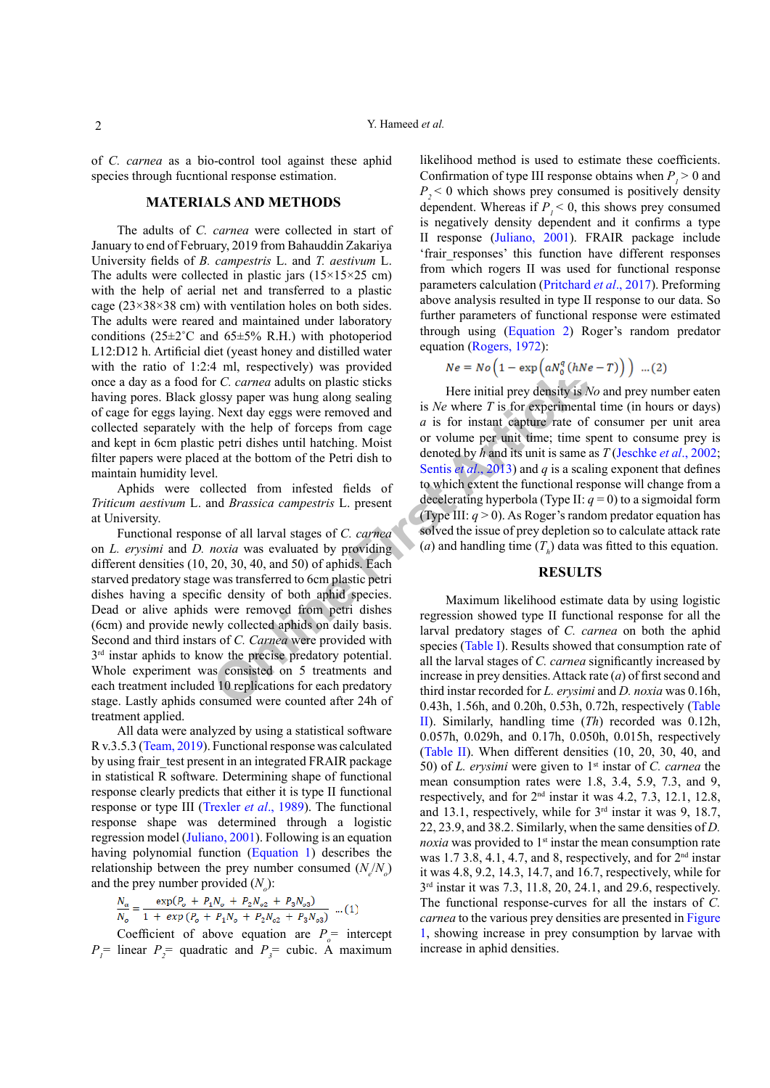of *C. carnea* as a bio-control tool against these aphid species through fucntional response estimation.

### **MATERIALS AND METHODS**

The adults of *C. carnea* were collected in start of January to end of February, 2019 from Bahauddin Zakariya University fields of *B. campestris* L. and *T. aestivum* L. The adults were collected in plastic jars  $(15\times15\times25$  cm) with the help of aerial net and transferred to a plastic cage ( $23\times38\times38$  cm) with ventilation holes on both sides. The adults were reared and maintained under laboratory conditions ( $25\pm2\degree$ C and  $65\pm5\%$  R.H.) with photoperiod L12:D12 h. Artificial diet (yeast honey and distilled water with the ratio of 1:2:4 ml, respectively) was provided once a day as a food for *C. carnea* adults on plastic sticks having pores. Black glossy paper was hung along sealing of cage for eggs laying. Next day eggs were removed and collected separately with the help of forceps from cage and kept in 6cm plastic petri dishes until hatching. Moist filter papers were placed at the bottom of the Petri dish to maintain humidity level.

Aphids were collected from infested fields of *Triticum aestivum* L. and *Brassica campestris* L. present at University.

4 min, respectively) was provided<br>on the  $\pi$  or the specifical some and this on plastic sticks<br>costs paper was hung along sealing<br>in the help of forceps from cage and is  $N e$  where  $T$  is for experimenta<br>in the help of f Functional response of all larval stages of *C. carnea*  on *L. erysimi* and *D. noxia* was evaluated by providing different densities (10, 20, 30, 40, and 50) of aphids. Each starved predatory stage was transferred to 6cm plastic petri dishes having a specific density of both aphid species. Dead or alive aphids were removed from petri dishes (6cm) and provide newly collected aphids on daily basis. Second and third instars of *C. Carnea* were provided with  $3<sup>rd</sup>$  instar aphids to know the precise predatory potential. Whole experiment was consisted on 5 treatments and each treatment included 10 replications for each predatory stage. Lastly aphids consumed were counted after 24h of treatment applied.

All data were analyzed by using a statistical software R v.3.5.3 ([Team, 2019\)](#page-4-7). Functional response was calculated by using frair test present in an integrated FRAIR package in statistical R software. Determining shape of functional response clearly predicts that either it is type II functional response or type III ([Trexler](#page-4-8) *et al*., 1989). The functional response shape was determined through a logistic regression model [\(Juliano, 2001\)](#page-3-7). Following is an equation having polynomial function ([Equation 1\)](#page-1-0) describes the relationship between the prey number consumed  $(N_e/N_o)$ and the prey number provided  $(N_o)$ :

<span id="page-1-0"></span>
$$
\frac{N_a}{N_o} = \frac{\exp(P_o + P_1 N_o + P_2 N_{o2} + P_3 N_{o3})}{1 + \exp(P_o + P_1 N_o + P_2 N_{o2} + P_3 N_{o3})} \dots (1)
$$

Coefficient of above equation are  $P_{\rho}$  = intercept  $P_1$ <sup>=</sup> linear  $P_2$ <sup>=</sup> quadratic and  $P_3$ <sup>=</sup> cubic. A maximum

likelihood method is used to estimate these coefficients. Confirmation of type III response obtains when  $P_1 > 0$  and  $P_{2}$   $\leq$  0 which shows prey consumed is positively density dependent. Whereas if  $P_1 < 0$ , this shows prey consumed is negatively density dependent and it confirms a type II response ([Juliano, 2001](#page-3-7)). FRAIR package include 'frair responses' this function have different responses from which rogers II was used for functional response parameters calculation (Pritchard *et al*., 2017). Preforming above analysis resulted in type II response to our data. So further parameters of functional response were estimated through using [\(Equation 2](#page-1-1)) Roger's random predator equation [\(Rogers, 1972](#page-4-9)):

<span id="page-1-1"></span>
$$
Ne = No \left(1 - \exp\left(aN_0^q\left(hNe - T\right)\right)\right) \dots (2)
$$

Here initial prey density is *No* and prey number eaten is *Ne* where *T* is for experimental time (in hours or days) *a* is for instant capture rate of consumer per unit area or volume per unit time; time spent to consume prey is denoted by *h* and its unit is same as *T* ([Jeschke](#page-3-8) *et al*., 2002; Sentis *et al*., 2013) and *q* is a scaling exponent that defines to which extent the functional response will change from a decelerating hyperbola (Type II:  $q = 0$ ) to a sigmoidal form (Type III:  $q > 0$ ). As Roger's random predator equation has solved the issue of prey depletion so to calculate attack rate (*a*) and handling time  $(T_h)$  data was fitted to this equation.

### **RESULTS**

Maximum likelihood estimate data by using logistic regression showed type II functional response for all the larval predatory stages of *C. carnea* on both the aphid species (Table I). Results showed that consumption rate of all the larval stages of *C. carnea* significantly increased by increase in prey densities. Attack rate (*a*) of first second and third instar recorded for *L. erysimi* and *D. noxia* was 0.16h, 0.43h, 1.56h, and 0.20h, 0.53h, 0.72h, respectively [\(Table](#page-2-1) [II](#page-2-1)). Similarly, handling time (*Th*) recorded was 0.12h, 0.057h, 0.029h, and 0.17h, 0.050h, 0.015h, respectively [\(Table II\)](#page-2-1). When different densities (10, 20, 30, 40, and 50) of *L. erysimi* were given to 1st instar of *C. carnea* the mean consumption rates were 1.8, 3.4, 5.9, 7.3, and 9, respectively, and for  $2<sup>nd</sup>$  instar it was 4.2, 7.3, 12.1, 12.8, and 13.1, respectively, while for 3rd instar it was 9, 18.7, 22, 23.9, and 38.2. Similarly, when the same densities of *D. noxia* was provided to 1<sup>st</sup> instar the mean consumption rate was  $1.7$  3.8, 4.1, 4.7, and 8, respectively, and for  $2<sup>nd</sup>$  instar it was 4.8, 9.2, 14.3, 14.7, and 16.7, respectively, while for 3rd instar it was 7.3, 11.8, 20, 24.1, and 29.6, respectively. The functional response-curves for all the instars of *C. carnea* to the various prey densities are presented in [Figure](#page-3-9) [1,](#page-3-9) showing increase in prey consumption by larvae with increase in aphid densities.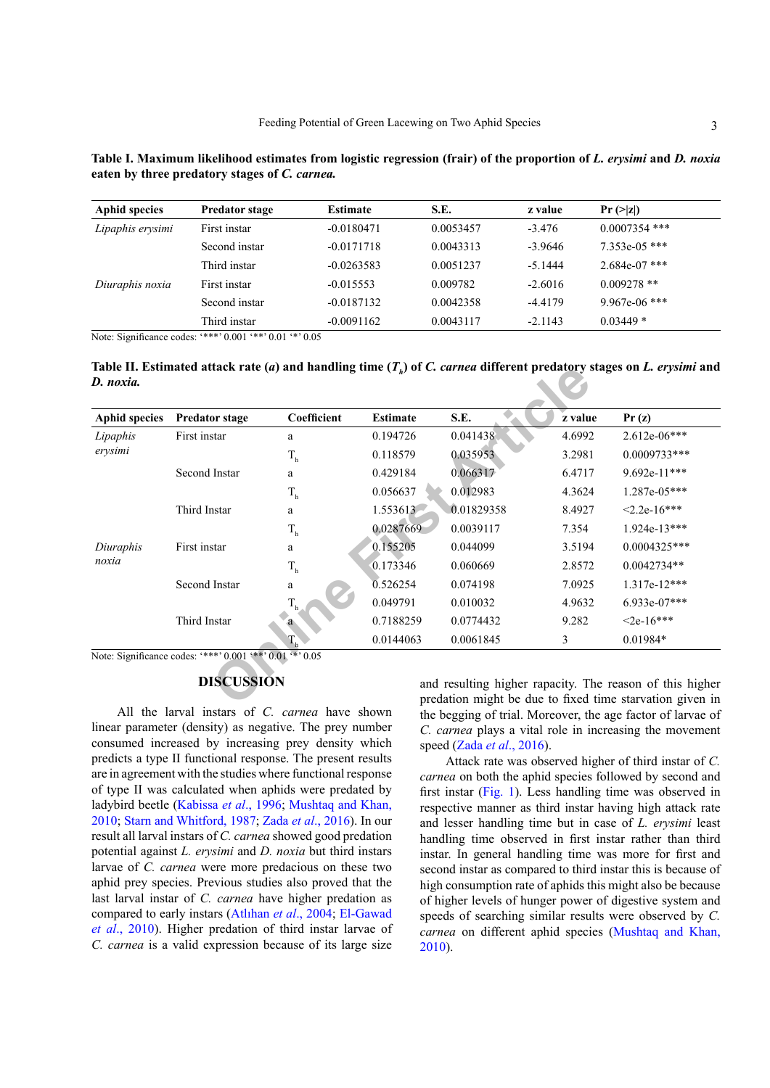| S.E.                                                                                                                                                                                                                                                                                           | z value | $Pr (>= z )$ |  |
|------------------------------------------------------------------------------------------------------------------------------------------------------------------------------------------------------------------------------------------------------------------------------------------------|---------|--------------|--|
|                                                                                                                                                                                                                                                                                                |         |              |  |
| $\mathbf{F}$ , and $\mathbf{F}$ are $\mathbf{F}$ and $\mathbf{F}$ are $\mathbf{F}$ are $\mathbf{F}$ . The set of $\mathbf{F}$ and $\mathbf{F}$ are $\mathbf{F}$ are $\mathbf{F}$ and $\mathbf{F}$ are $\mathbf{F}$ and $\mathbf{F}$ are $\mathbf{F}$ and $\mathbf{F}$ are $\mathbf{F}$ and $\$ |         |              |  |

| <b>Aphid species</b> | <b>Predator stage</b> | Estimate     | S.E.      | z value   | $Pr (>= z )$    |
|----------------------|-----------------------|--------------|-----------|-----------|-----------------|
| Lipaphis erysimi     | First instar          | $-0.0180471$ | 0.0053457 | $-3.476$  | $0.0007354$ *** |
|                      | Second instar         | $-0.0171718$ | 0.0043313 | $-3.9646$ | $7.353e-05$ *** |
|                      | Third instar          | $-0.0263583$ | 0.0051237 | $-5.1444$ | $2.684e-07$ *** |
| Diuraphis noxia      | First instar          | $-0.015553$  | 0.009782  | $-2.6016$ | $0.009278$ **   |
|                      | Second instar         | $-0.0187132$ | 0.0042358 | $-4.4179$ | $9.967e-06$ *** |
|                      | Third instar          | $-0.0091162$ | 0.0043117 | $-2.1143$ | $0.03449*$      |

<span id="page-2-0"></span>**Table I. Maximum likelihood estimates from logistic regression (frair) of the proportion of** *L. erysimi* **and** *D. noxia* **eaten by three predatory stages of** *C. carnea.*

Note: Significance codes: '\*\*\*' 0.001 '\*\*' 0.01 '\*' 0.05

<span id="page-2-1"></span>Table II. Estimated attack rate (*a*) and handling time ( $T_p$ ) of *C. carnea* different predatory stages on *L. erysimi* and *D. noxia.*

| <b>Aphid species</b> | <b>Predator stage</b>                                    | Coefficient    | <b>Estimate</b> | S.E.                                                                                                                 | z value | Pr(z)            |
|----------------------|----------------------------------------------------------|----------------|-----------------|----------------------------------------------------------------------------------------------------------------------|---------|------------------|
| Lipaphis<br>erysimi  | First instar                                             | a              | 0.194726        | 0.041438                                                                                                             | 4.6992  | $2.612e-06***$   |
|                      |                                                          | $\rm T_h$      | 0.118579        | 0.035953                                                                                                             | 3.2981  | $0.0009733***$   |
|                      | Second Instar                                            | a              | 0.429184        | 0.066317                                                                                                             | 6.4717  | 9.692e-11***     |
|                      |                                                          | $\rm T_h$      | 0.056637        | 0.012983                                                                                                             | 4.3624  | 1.287e-05***     |
|                      | Third Instar                                             | a              | 1.553613        | 0.01829358                                                                                                           | 8.4927  | $< 2.2e - 16***$ |
|                      |                                                          | $\rm T_h$      | 0.0287669       | 0.0039117                                                                                                            | 7.354   | $1.924e-13***$   |
| Diuraphis<br>noxia   | First instar                                             | a              | 0.155205        | 0.044099                                                                                                             | 3.5194  | $0.0004325***$   |
|                      |                                                          | $\rm T_h$      | 0.173346        | 0.060669                                                                                                             | 2.8572  | $0.0042734**$    |
|                      | Second Instar                                            | a              | 0.526254        | 0.074198                                                                                                             | 7.0925  | 1.317e-12***     |
|                      |                                                          |                | 0.049791        | 0.010032                                                                                                             | 4.9632  | 6.933e-07***     |
|                      | Third Instar                                             | a              | 0.7188259       | 0.0774432                                                                                                            | 9.282   | $< 2e-16***$     |
|                      |                                                          | $\mathbb{I}^n$ | 0.0144063       | 0.0061845                                                                                                            | 3       | $0.01984*$       |
|                      | Note: Significance codes: '***' 0.001 '**' 0.01 '*' 0.05 |                |                 |                                                                                                                      |         |                  |
|                      | <b>DISCUSSION</b>                                        |                |                 | and resulting higher rapacity. The reason of this higher<br>predation might be due to fixed time starvation given in |         |                  |

# **DISCUSSION**

All the larval instars of *C. carnea* have shown linear parameter (density) as negative. The prey number consumed increased by increasing prey density which predicts a type II functional response. The present results are in agreement with the studies where functional response of type II was calculated when aphids were predated by ladybird beetle [\(Kabissa](#page-3-10) *et al*., 1996; [Mushtaq and Khan,](#page-4-11) [2010;](#page-4-11) [Starn and Whitford, 1987;](#page-4-12) Zada *et al*[., 2016\)](#page-4-13). In our result all larval instars of *C. carnea* showed good predation potential against *L. erysimi* and *D. noxia* but third instars larvae of *C. carnea* were more predacious on these two aphid prey species. Previous studies also proved that the last larval instar of *C. carnea* have higher predation as compared to early instars (Atlıhan *et al*., 2004; [El-Gawad](#page-3-11) *et al*[., 2010](#page-3-11)). Higher predation of third instar larvae of *C. carnea* is a valid expression because of its large size

and resulting higher rapacity. The reason of this higher predation might be due to fixed time starvation given in the begging of trial. Moreover, the age factor of larvae of *C. carnea* plays a vital role in increasing the movement speed (Zada *et al*[., 2016\)](#page-4-13).

Attack rate was observed higher of third instar of *C. carnea* on both the aphid species followed by second and first instar ([Fig. 1](#page-3-9)). Less handling time was observed in respective manner as third instar having high attack rate and lesser handling time but in case of *L. erysimi* least handling time observed in first instar rather than third instar. In general handling time was more for first and second instar as compared to third instar this is because of high consumption rate of aphids this might also be because of higher levels of hunger power of digestive system and speeds of searching similar results were observed by *C. carnea* on different aphid species [\(Mushtaq and Khan,](#page-4-11) [2010\)](#page-4-11).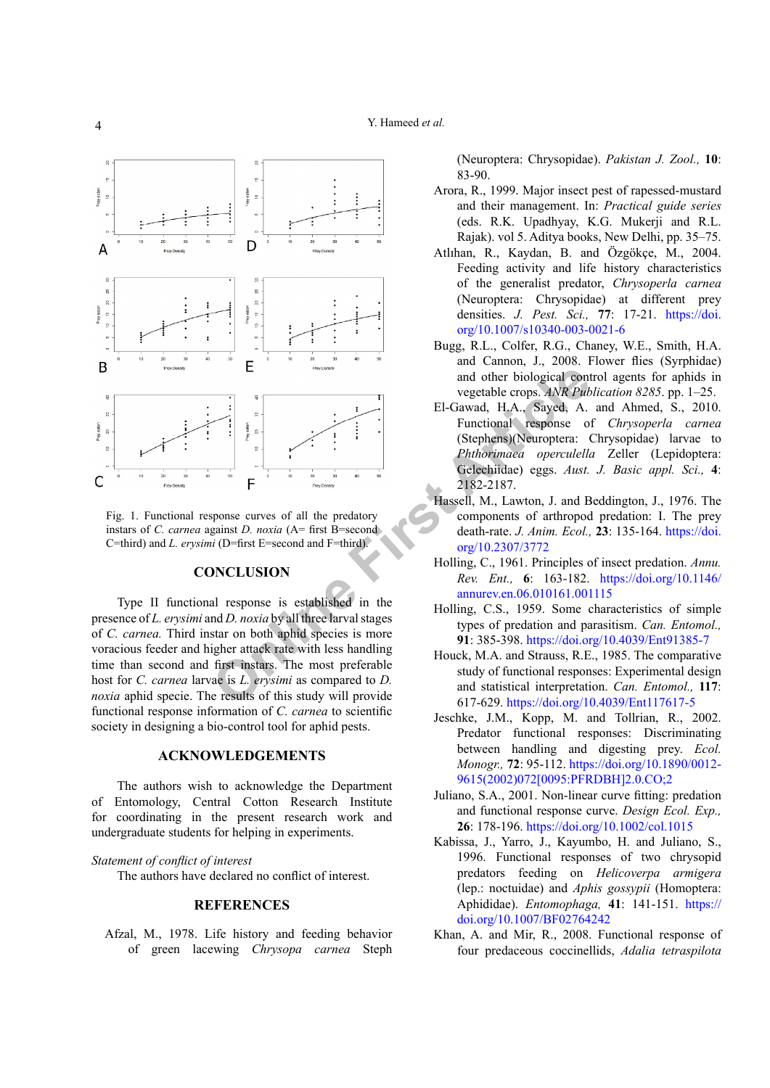

<span id="page-3-9"></span>Fig. 1. Functional response curves of all the predatory instars of *C. carnea* against *D. noxia* (A= first B=second) C=third) and *L. erysimi* (D=first E=second and F=third).

#### **CONCLUSION**

Type II functional response is established in the presence of *L. erysimi* and *D. noxia* by all three larval stages of *C. carnea.* Third instar on both aphid species is more voracious feeder and higher attack rate with less handling time than second and first instars. The most preferable host for *C. carnea* larvae is *L. erysimi* as compared to *D. noxia* aphid specie. The results of this study will provide functional response information of *C. carnea* to scientific society in designing a bio-control tool for aphid pests.

# **ACKNOWLEDGEMENTS**

The authors wish to acknowledge the Department of Entomology, Central Cotton Research Institute for coordinating in the present research work and undergraduate students for helping in experiments.

*Statement of conflict of interest*

The authors have declared no conflict of interest.

#### **REFERENCES**

<span id="page-3-2"></span>Afzal, M., 1978. Life history and feeding behavior of green lacewing *Chrysopa carnea* Steph (Neuroptera: Chrysopidae). *Pakistan J. Zool.,* **10**: 83-90.

- <span id="page-3-0"></span>Arora, R., 1999. Major insect pest of rapessed-mustard and their management. In: *Practical guide series*  (eds. R.K. Upadhyay, K.G. Mukerji and R.L. Rajak). vol 5. Aditya books, New Delhi, pp. 35–75.
- Atlıhan, R., Kaydan, B. and Özgökçe, M., 2004. Feeding activity and life history characteristics of the generalist predator, *Chrysoperla carnea*  (Neuroptera: Chrysopidae) at different prey densities. *J. Pest. Sci.,* **77**: 17-21. [https://doi.](https://doi.org/10.1007/s10340-003-0021-6) [org/10.1007/s10340-003-0021-6](https://doi.org/10.1007/s10340-003-0021-6)
- <span id="page-3-1"></span>Bugg, R.L., Colfer, R.G., Chaney, W.E., Smith, H.A. and Cannon, J., 2008. Flower flies (Syrphidae) and other biological control agents for aphids in vegetable crops. *ANR Publication 8285*. pp. 1–25.
- <span id="page-3-11"></span>El-Gawad, H.A., Sayed, A. and Ahmed, S., 2010. Functional response of *Chrysoperla carnea* (Stephens)(Neuroptera: Chrysopidae) larvae to *Phthorimaea operculella* Zeller (Lepidoptera: Gelechiidae) eggs. *Aust. J. Basic appl. Sci.,* **4**: 2182-2187.
- <span id="page-3-5"></span>Hassell, M., Lawton, J. and Beddington, J., 1976. The components of arthropod predation: I. The prey death-rate. *J. Anim. Ecol.,* **23**: 135-164. [https://doi.](https://doi.org/10.2307/3772) org/10.2307/3772
- <span id="page-3-3"></span>Holling, C., 1961. Principles of insect predation. *Annu. Rev. Ent.,* **6**: 163-182. [https://doi.org/10.1146/](https://doi.org/10.1146/annurev.en.06.010161.001115) annurev.en.06.010161.001115
- Holling, C.S., 1959. Some characteristics of simple types of predation and parasitism. *Can. Entomol.,*  **91**: 385-398.<https://doi.org/10.4039/Ent91385-7>
- <span id="page-3-6"></span>Houck, M.A. and Strauss, R.E., 1985. The comparative study of functional responses: Experimental design and statistical interpretation. *Can. Entomol.,* **117**: 617-629. <https://doi.org/10.4039/Ent117617-5>
- <span id="page-3-8"></span>Jeschke, J.M., Kopp, M. and Tollrian, R., 2002. Predator functional responses: Discriminating between handling and digesting prey. *Ecol. Monogr.,* **72**: 95-112. [https://doi.org/10.1890/0012-](https://doi.org/10.1890/0012-9615(2002)072%5b0095:PFRDBH%5d2.0.CO;2) [9615\(2002\)072\[0095:PFRDBH\]2.0.CO;2](https://doi.org/10.1890/0012-9615(2002)072%5b0095:PFRDBH%5d2.0.CO;2)
- <span id="page-3-7"></span>Juliano, S.A., 2001. Non-linear curve fitting: predation and functional response curve. *Design Ecol. Exp.,*  **26**: 178-196.<https://doi.org/10.1002/col.1015>
- <span id="page-3-10"></span>Kabissa, J., Yarro, J., Kayumbo, H. and Juliano, S., 1996. Functional responses of two chrysopid predators feeding on *Helicoverpa armigera* (lep.: noctuidae) and *Aphis gossypii* (Homoptera: Aphididae). *Entomophaga,* **41**: 141-151. [https://](https://doi.org/10.1007/BF02764242) [doi.org/10.1007/BF02764242](https://doi.org/10.1007/BF02764242)
- <span id="page-3-4"></span>Khan, A. and Mir, R., 2008. Functional response of four predaceous coccinellids, *Adalia tetraspilota*